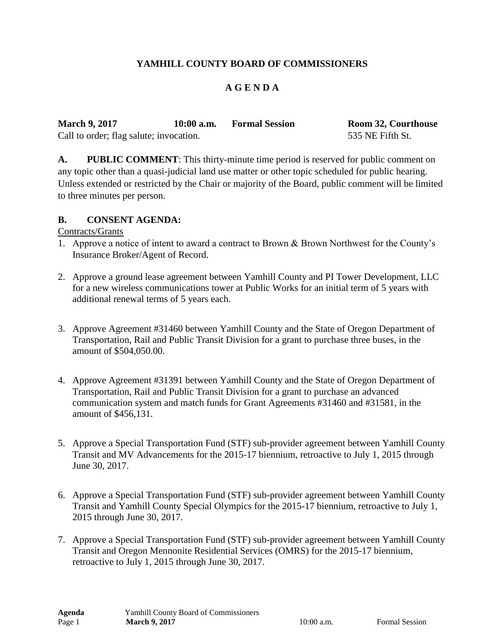# **YAMHILL COUNTY BOARD OF COMMISSIONERS**

#### **A G E N D A**

| <b>March 9, 2017</b>                    | $10:00$ a.m. | <b>Formal Session</b> | <b>Room 32, Courthouse</b> |
|-----------------------------------------|--------------|-----------------------|----------------------------|
| Call to order; flag salute; invocation. |              |                       | 535 NE Fifth St.           |

**A. PUBLIC COMMENT**: This thirty-minute time period is reserved for public comment on any topic other than a quasi-judicial land use matter or other topic scheduled for public hearing. Unless extended or restricted by the Chair or majority of the Board, public comment will be limited to three minutes per person.

#### **B. CONSENT AGENDA:**

#### Contracts/Grants

- 1. Approve a notice of intent to award a contract to Brown & Brown Northwest for the County's Insurance Broker/Agent of Record.
- 2. Approve a ground lease agreement between Yamhill County and PI Tower Development, LLC for a new wireless communications tower at Public Works for an initial term of 5 years with additional renewal terms of 5 years each.
- 3. Approve Agreement #31460 between Yamhill County and the State of Oregon Department of Transportation, Rail and Public Transit Division for a grant to purchase three buses, in the amount of \$504,050.00.
- 4. Approve Agreement #31391 between Yamhill County and the State of Oregon Department of Transportation, Rail and Public Transit Division for a grant to purchase an advanced communication system and match funds for Grant Agreements #31460 and #31581, in the amount of \$456,131.
- 5. Approve a Special Transportation Fund (STF) sub-provider agreement between Yamhill County Transit and MV Advancements for the 2015-17 biennium, retroactive to July 1, 2015 through June 30, 2017.
- 6. Approve a Special Transportation Fund (STF) sub-provider agreement between Yamhill County Transit and Yamhill County Special Olympics for the 2015-17 biennium, retroactive to July 1, 2015 through June 30, 2017.
- 7. Approve a Special Transportation Fund (STF) sub-provider agreement between Yamhill County Transit and Oregon Mennonite Residential Services (OMRS) for the 2015-17 biennium, retroactive to July 1, 2015 through June 30, 2017.